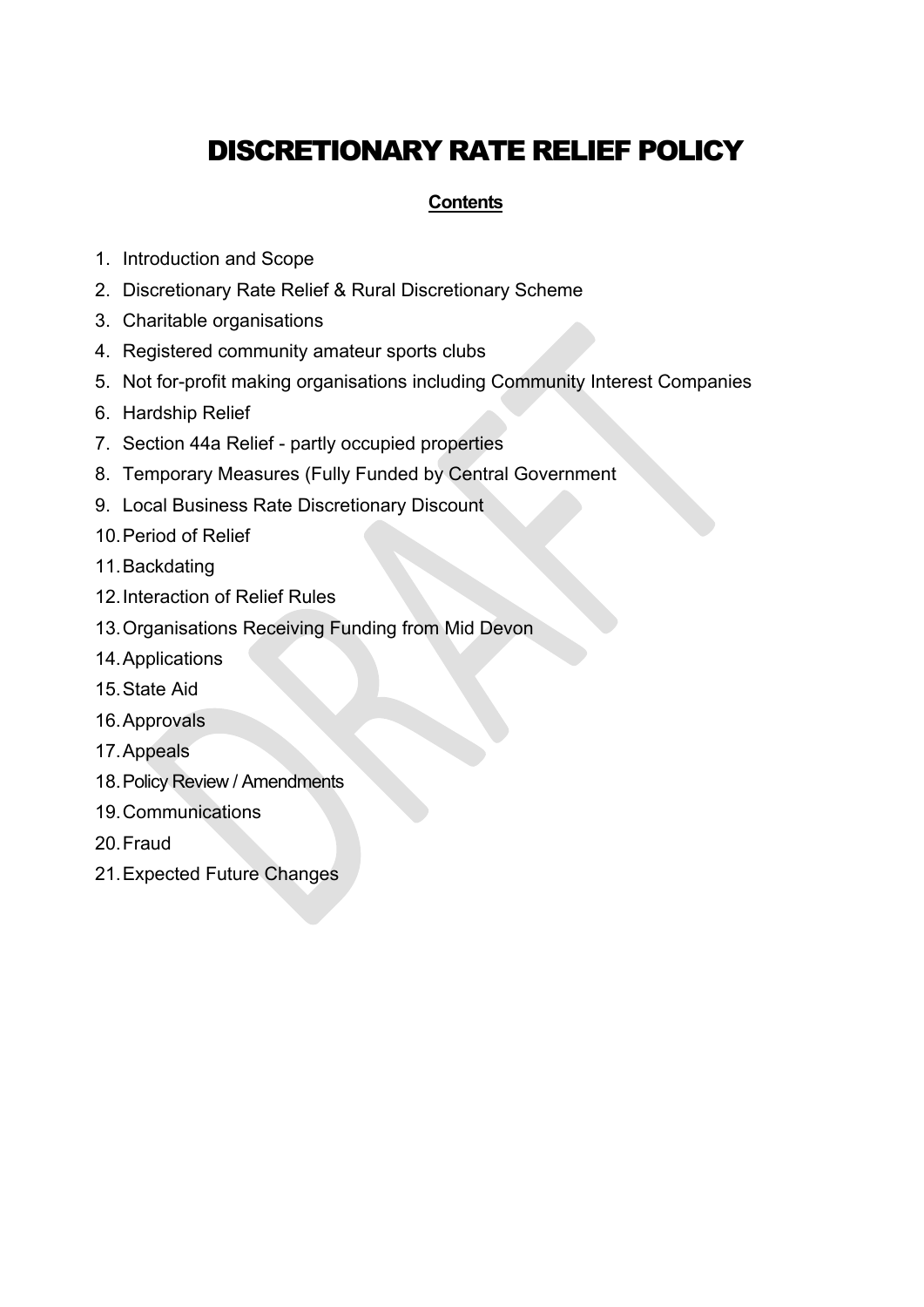# DISCRETIONARY RATE RELIEF POLICY

# **Contents**

- 1. Introduction and Scope
- 2. Discretionary Rate Relief & Rural Discretionary Scheme
- 3. Charitable organisations
- 4. Registered community amateur sports clubs
- 5. Not for-profit making organisations including Community Interest Companies
- 6. Hardship Relief
- 7. Section 44a Relief partly occupied properties
- 8. Temporary Measures (Fully Funded by Central Government
- 9. Local Business Rate Discretionary Discount
- 10.Period of Relief
- 11.Backdating
- 12.Interaction of Relief Rules
- 13.Organisations Receiving Funding from Mid Devon
- 14.Applications
- 15.State Aid
- 16.Approvals
- 17.Appeals
- 18.Policy Review / Amendments
- 19.Communications
- 20.Fraud
- 21.Expected Future Changes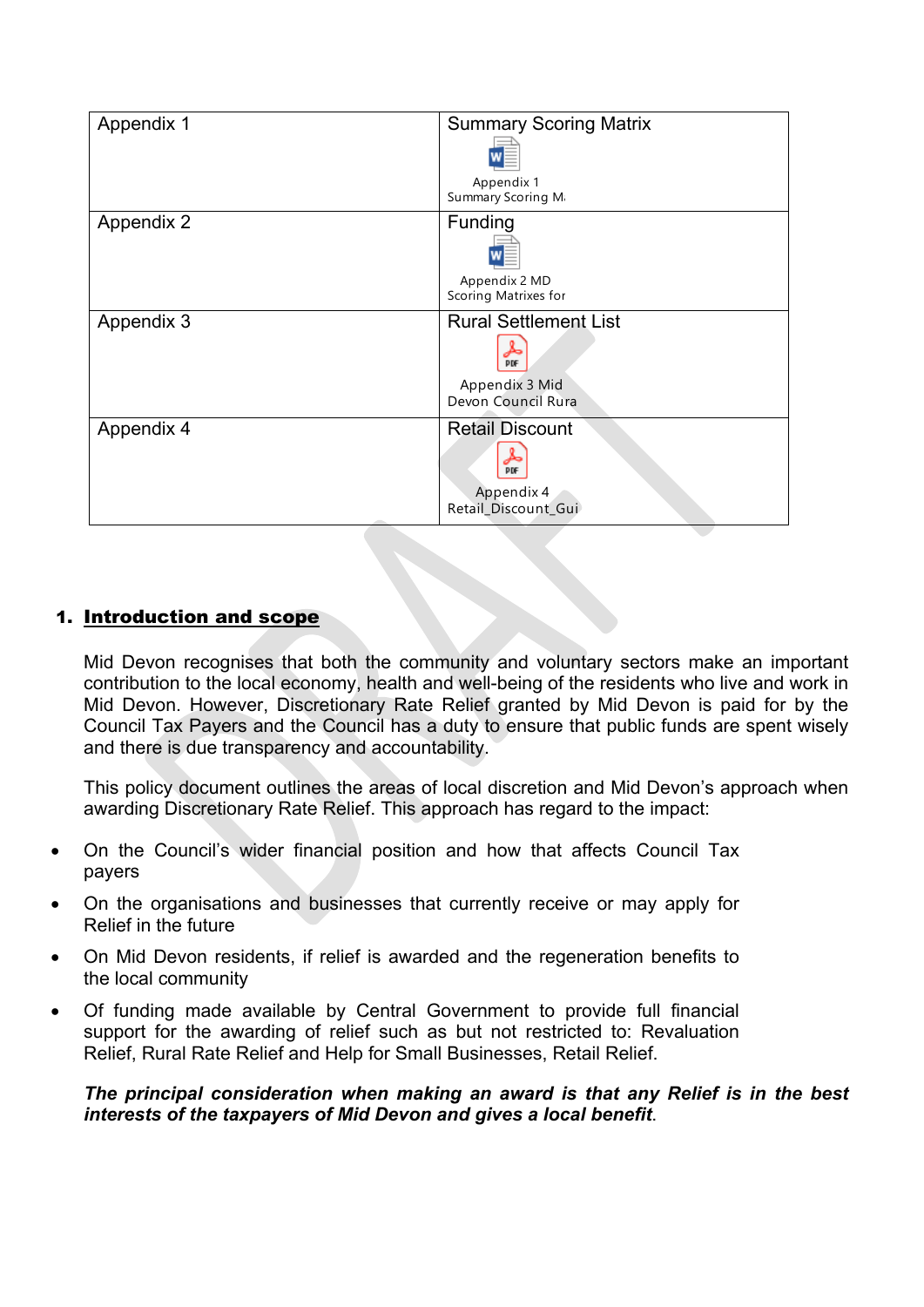| Appendix 1 | <b>Summary Scoring Matrix</b>         |
|------------|---------------------------------------|
|            |                                       |
|            | Appendix 1<br>Summary Scoring Mi      |
| Appendix 2 | Funding                               |
|            |                                       |
|            | Appendix 2 MD<br>Scoring Matrixes for |
| Appendix 3 | <b>Rural Settlement List</b>          |
|            | <b>DDF</b>                            |
|            | Appendix 3 Mid                        |
|            | Devon Council Rura                    |
| Appendix 4 | <b>Retail Discount</b>                |
|            | PDF                                   |
|            | Appendix 4<br>Retail_Discount_Gui     |
|            |                                       |

# 1. Introduction and scope

Mid Devon recognises that both the community and voluntary sectors make an important contribution to the local economy, health and well-being of the residents who live and work in Mid Devon. However, Discretionary Rate Relief granted by Mid Devon is paid for by the Council Tax Payers and the Council has a duty to ensure that public funds are spent wisely and there is due transparency and accountability.

This policy document outlines the areas of local discretion and Mid Devon's approach when awarding Discretionary Rate Relief. This approach has regard to the impact:

- On the Council's wider financial position and how that affects Council Tax payers
- On the organisations and businesses that currently receive or may apply for Relief in the future
- On Mid Devon residents, if relief is awarded and the regeneration benefits to the local community
- Of funding made available by Central Government to provide full financial support for the awarding of relief such as but not restricted to: Revaluation Relief, Rural Rate Relief and Help for Small Businesses, Retail Relief.

*The principal consideration when making an award is that any Relief is in the best interests of the taxpayers of Mid Devon and gives a local benefit*.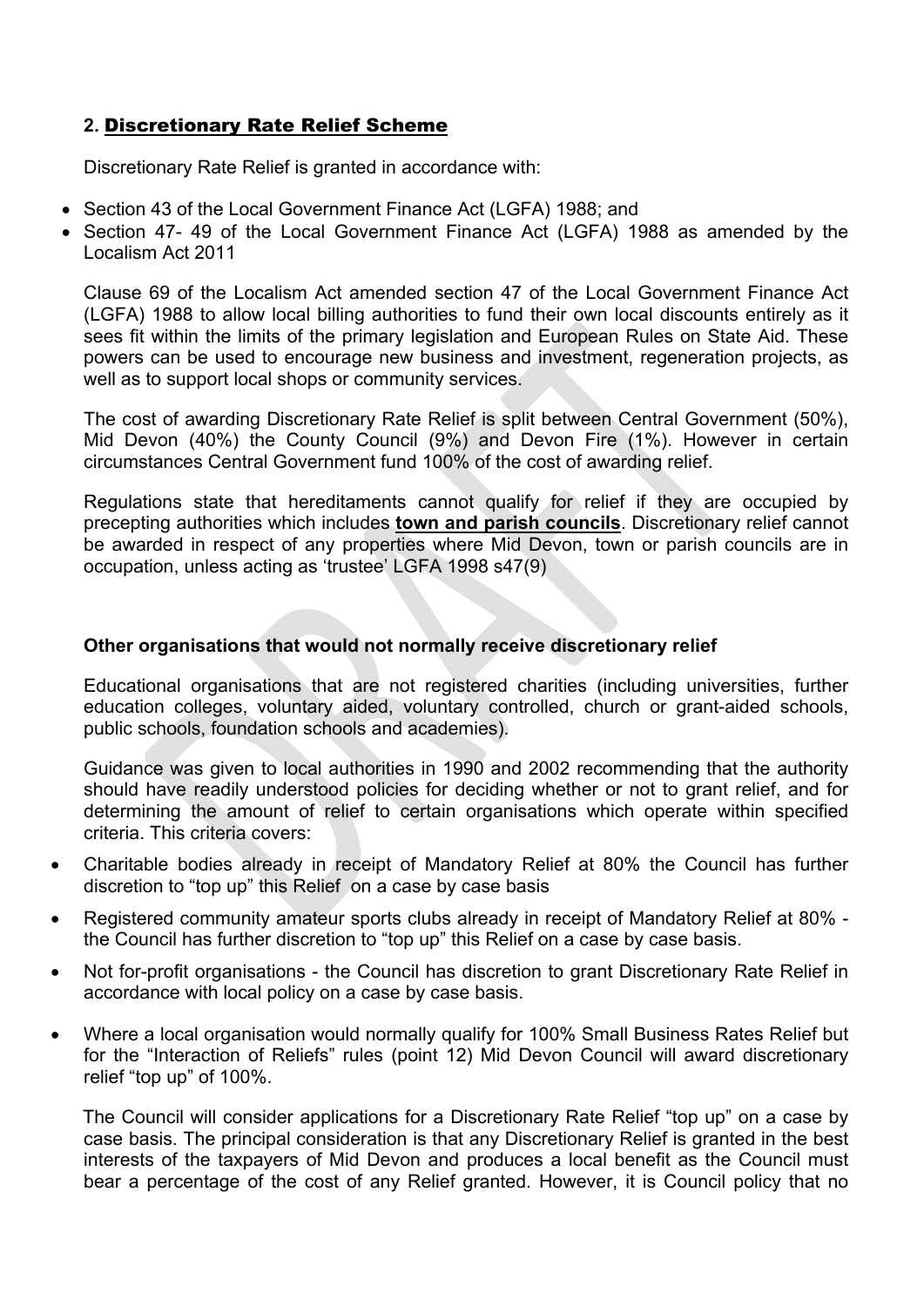# **2.** Discretionary Rate Relief Scheme

Discretionary Rate Relief is granted in accordance with:

- Section 43 of the Local Government Finance Act (LGFA) 1988; and
- Section 47- 49 of the Local Government Finance Act (LGFA) 1988 as amended by the Localism Act 2011

Clause 69 of the Localism Act amended section 47 of the Local Government Finance Act (LGFA) 1988 to allow local billing authorities to fund their own local discounts entirely as it sees fit within the limits of the primary legislation and European Rules on State Aid. These powers can be used to encourage new business and investment, regeneration projects, as well as to support local shops or community services.

The cost of awarding Discretionary Rate Relief is split between Central Government (50%), Mid Devon (40%) the County Council (9%) and Devon Fire (1%). However in certain circumstances Central Government fund 100% of the cost of awarding relief.

Regulations state that hereditaments cannot qualify for relief if they are occupied by precepting authorities which includes **town and parish councils**. Discretionary relief cannot be awarded in respect of any properties where Mid Devon, town or parish councils are in occupation, unless acting as 'trustee' LGFA 1998 s47(9)

### **Other organisations that would not normally receive discretionary relief**

Educational organisations that are not registered charities (including universities, further education colleges, voluntary aided, voluntary controlled, church or grant-aided schools, public schools, foundation schools and academies).

Guidance was given to local authorities in 1990 and 2002 recommending that the authority should have readily understood policies for deciding whether or not to grant relief, and for determining the amount of relief to certain organisations which operate within specified criteria. This criteria covers:

- Charitable bodies already in receipt of Mandatory Relief at 80% the Council has further discretion to "top up" this Relief on a case by case basis
- Registered community amateur sports clubs already in receipt of Mandatory Relief at 80% the Council has further discretion to "top up" this Relief on a case by case basis.
- Not for-profit organisations the Council has discretion to grant Discretionary Rate Relief in accordance with local policy on a case by case basis.
- Where a local organisation would normally qualify for 100% Small Business Rates Relief but for the "Interaction of Reliefs" rules (point 12) Mid Devon Council will award discretionary relief "top up" of 100%.

The Council will consider applications for a Discretionary Rate Relief "top up" on a case by case basis. The principal consideration is that any Discretionary Relief is granted in the best interests of the taxpayers of Mid Devon and produces a local benefit as the Council must bear a percentage of the cost of any Relief granted. However, it is Council policy that no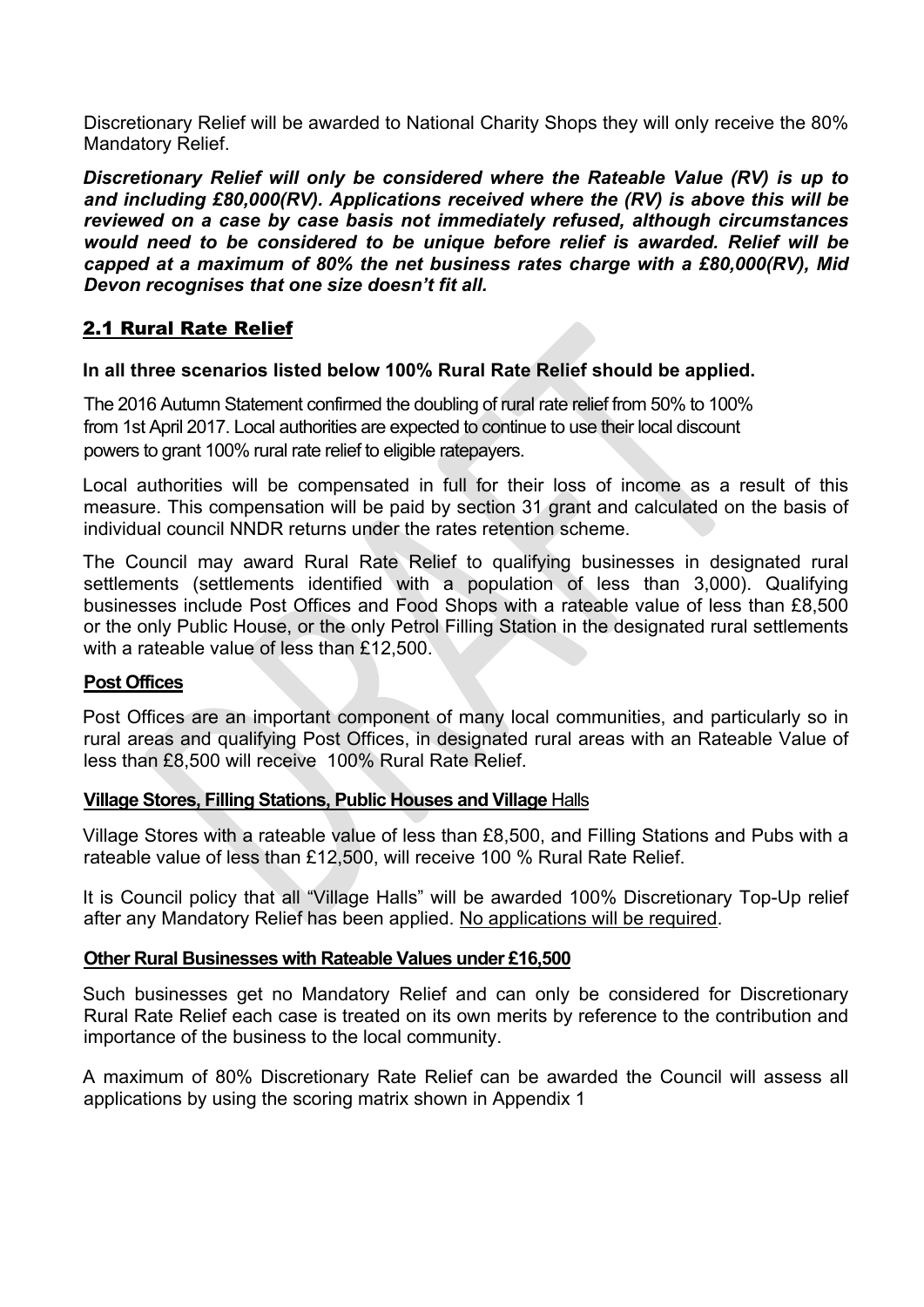Discretionary Relief will be awarded to National Charity Shops they will only receive the 80% Mandatory Relief.

*Discretionary Relief will only be considered where the Rateable Value (RV) is up to and including £80,000(RV). Applications received where the (RV) is above this will be reviewed on a case by case basis not immediately refused, although circumstances would need to be considered to be unique before relief is awarded. Relief will be capped at a maximum of 80% the net business rates charge with a £80,000(RV), Mid Devon recognises that one size doesn't fit all.*

# 2.1 Rural Rate Relief

### **In all three scenarios listed below 100% Rural Rate Relief should be applied.**

The 2016 Autumn Statement confirmed the doubling of rural rate relief from 50% to 100% from 1st April 2017. Local authorities are expected to continue to use their local discount powers to grant 100% rural rate relief to eligible ratepayers.

Local authorities will be compensated in full for their loss of income as a result of this measure. This compensation will be paid by section 31 grant and calculated on the basis of individual council NNDR returns under the rates retention scheme.

The Council may award Rural Rate Relief to qualifying businesses in designated rural settlements (settlements identified with a population of less than 3,000). Qualifying businesses include Post Offices and Food Shops with a rateable value of less than £8,500 or the only Public House, or the only Petrol Filling Station in the designated rural settlements with a rateable value of less than £12,500.

#### **Post Offices**

Post Offices are an important component of many local communities, and particularly so in rural areas and qualifying Post Offices, in designated rural areas with an Rateable Value of less than £8,500 will receive 100% Rural Rate Relief.

### **Village Stores, Filling Stations, Public Houses and Village** Halls

Village Stores with a rateable value of less than £8,500, and Filling Stations and Pubs with a rateable value of less than £12,500, will receive 100 % Rural Rate Relief.

It is Council policy that all "Village Halls" will be awarded 100% Discretionary Top-Up relief after any Mandatory Relief has been applied. No applications will be required.

### **Other Rural Businesses with Rateable Values under £16,500**

Such businesses get no Mandatory Relief and can only be considered for Discretionary Rural Rate Relief each case is treated on its own merits by reference to the contribution and importance of the business to the local community.

A maximum of 80% Discretionary Rate Relief can be awarded the Council will assess all applications by using the scoring matrix shown in Appendix 1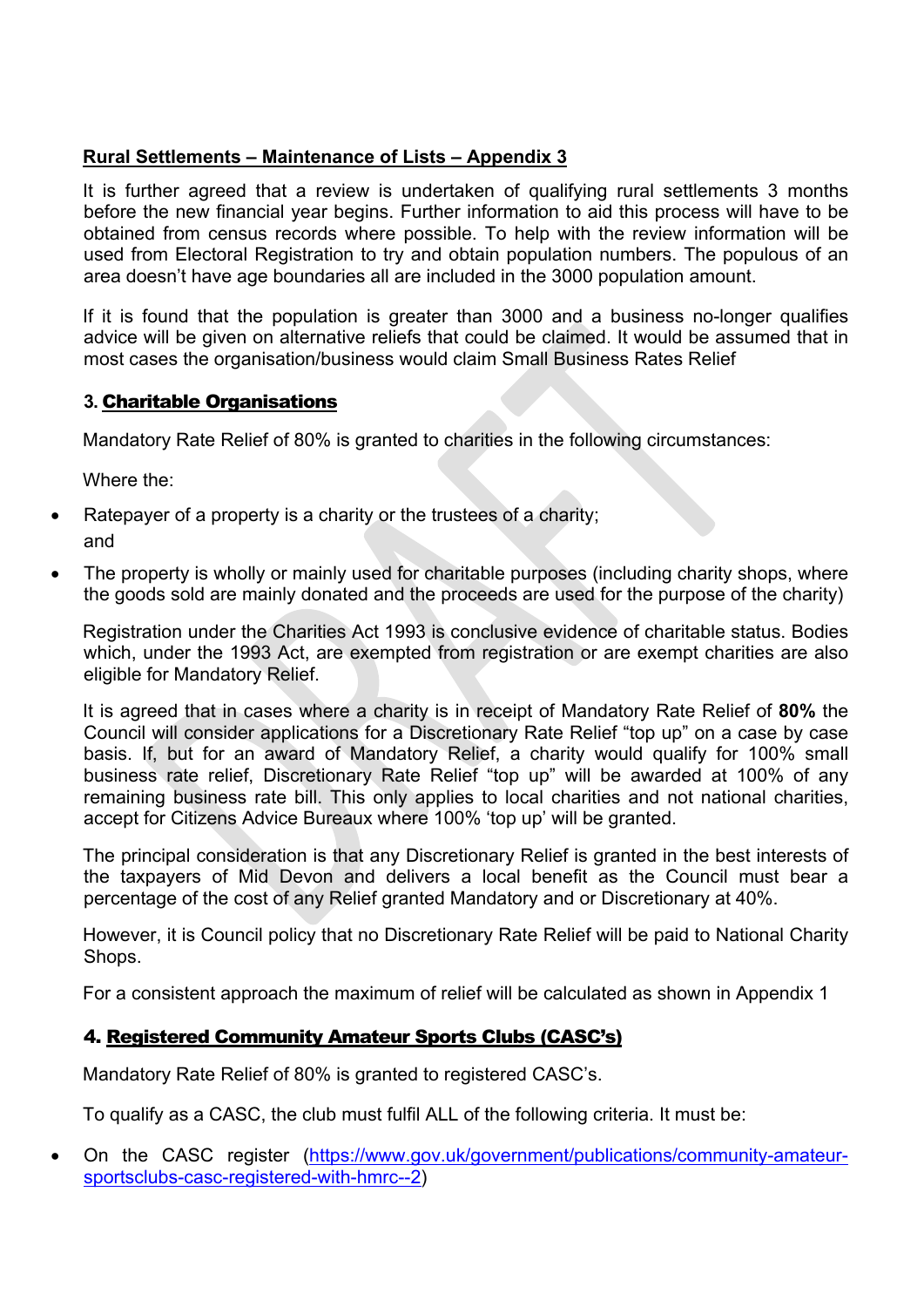# **Rural Settlements – Maintenance of Lists – Appendix 3**

It is further agreed that a review is undertaken of qualifying rural settlements 3 months before the new financial year begins. Further information to aid this process will have to be obtained from census records where possible. To help with the review information will be used from Electoral Registration to try and obtain population numbers. The populous of an area doesn't have age boundaries all are included in the 3000 population amount.

If it is found that the population is greater than 3000 and a business no-longer qualifies advice will be given on alternative reliefs that could be claimed. It would be assumed that in most cases the organisation/business would claim Small Business Rates Relief

# **3.** Charitable Organisations

Mandatory Rate Relief of 80% is granted to charities in the following circumstances:

Where the:

- Ratepayer of a property is a charity or the trustees of a charity; and
- The property is wholly or mainly used for charitable purposes (including charity shops, where the goods sold are mainly donated and the proceeds are used for the purpose of the charity)

Registration under the Charities Act 1993 is conclusive evidence of charitable status. Bodies which, under the 1993 Act, are exempted from registration or are exempt charities are also eligible for Mandatory Relief.

It is agreed that in cases where a charity is in receipt of Mandatory Rate Relief of **80%** the Council will consider applications for a Discretionary Rate Relief "top up" on a case by case basis. If, but for an award of Mandatory Relief, a charity would qualify for 100% small business rate relief, Discretionary Rate Relief "top up" will be awarded at 100% of any remaining business rate bill. This only applies to local charities and not national charities, accept for Citizens Advice Bureaux where 100% 'top up' will be granted.

The principal consideration is that any Discretionary Relief is granted in the best interests of the taxpayers of Mid Devon and delivers a local benefit as the Council must bear a percentage of the cost of any Relief granted Mandatory and or Discretionary at 40%.

However, it is Council policy that no Discretionary Rate Relief will be paid to National Charity Shops.

For a consistent approach the maximum of relief will be calculated as shown in Appendix 1

# 4. Registered Community Amateur Sports Clubs (CASC's)

Mandatory Rate Relief of 80% is granted to registered CASC's.

To qualify as a CASC, the club must fulfil ALL of the following criteria. It must be:

 On the CASC register [\(https://www.gov.uk/government/publications/community-amateur](https://www.gov.uk/government/publications/community-amateur-sportsclubs-casc-registered-with-hmrc--2)[sportsclubs-casc-registered-with-hmrc--2](https://www.gov.uk/government/publications/community-amateur-sportsclubs-casc-registered-with-hmrc--2))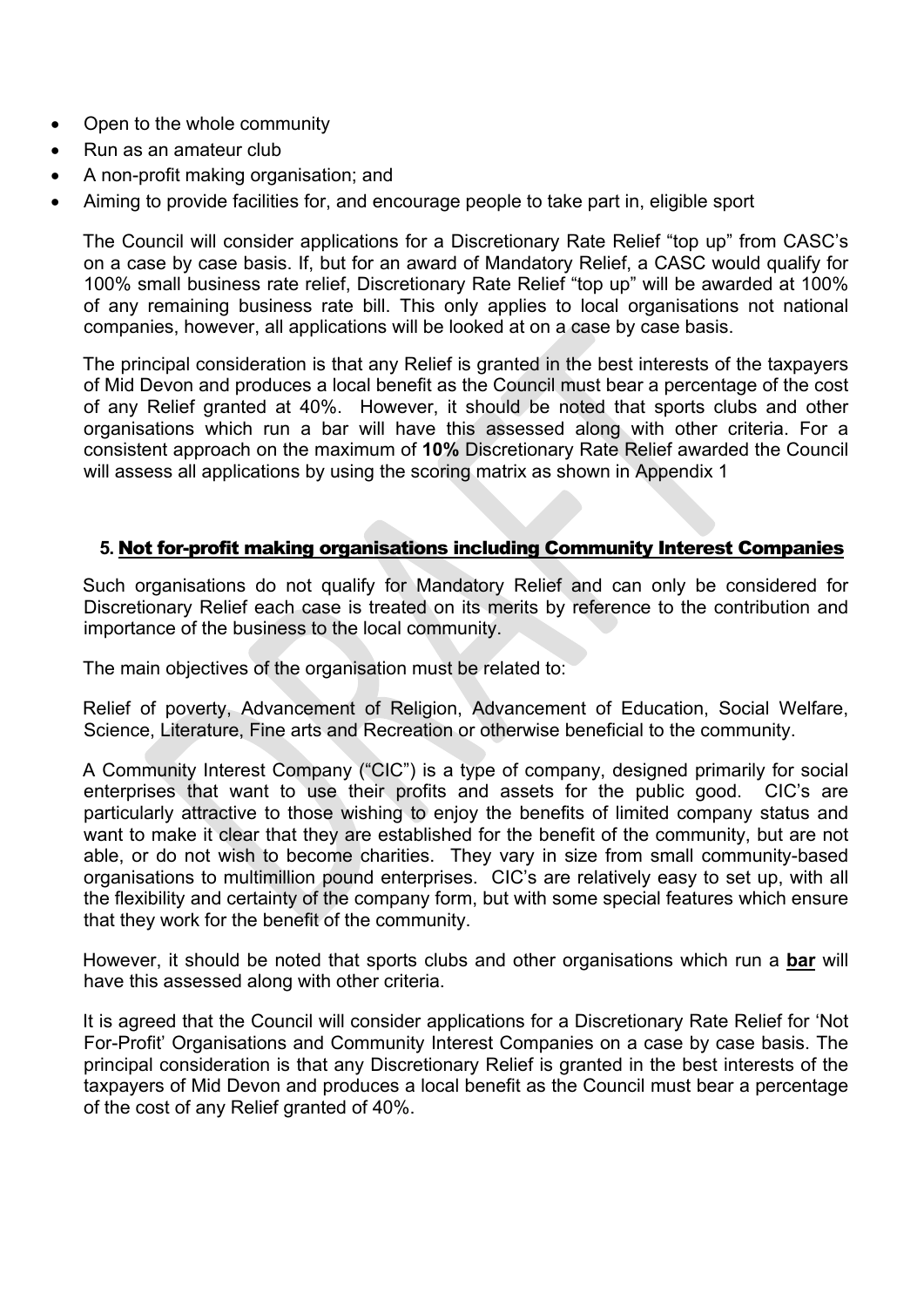- Open to the whole community
- Run as an amateur club
- A non-profit making organisation; and
- Aiming to provide facilities for, and encourage people to take part in, eligible sport

The Council will consider applications for a Discretionary Rate Relief "top up" from CASC's on a case by case basis. If, but for an award of Mandatory Relief, a CASC would qualify for 100% small business rate relief, Discretionary Rate Relief "top up" will be awarded at 100% of any remaining business rate bill. This only applies to local organisations not national companies, however, all applications will be looked at on a case by case basis.

The principal consideration is that any Relief is granted in the best interests of the taxpayers of Mid Devon and produces a local benefit as the Council must bear a percentage of the cost of any Relief granted at 40%. However, it should be noted that sports clubs and other organisations which run a bar will have this assessed along with other criteria. For a consistent approach on the maximum of **10%** Discretionary Rate Relief awarded the Council will assess all applications by using the scoring matrix as shown in Appendix 1

### **5.** Not for-profit making organisations including Community Interest Companies

Such organisations do not qualify for Mandatory Relief and can only be considered for Discretionary Relief each case is treated on its merits by reference to the contribution and importance of the business to the local community.

The main objectives of the organisation must be related to:

Relief of poverty, Advancement of Religion, Advancement of Education, Social Welfare, Science, Literature, Fine arts and Recreation or otherwise beneficial to the community.

A Community Interest Company ("CIC") is a type of company, designed primarily for social enterprises that want to use their profits and assets for the public good. CIC's are particularly attractive to those wishing to enjoy the benefits of limited company status and want to make it clear that they are established for the benefit of the community, but are not able, or do not wish to become charities. They vary in size from small community-based organisations to multimillion pound enterprises. CIC's are relatively easy to set up, with all the flexibility and certainty of the company form, but with some special features which ensure that they work for the benefit of the community.

However, it should be noted that sports clubs and other organisations which run a **bar** will have this assessed along with other criteria.

It is agreed that the Council will consider applications for a Discretionary Rate Relief for 'Not For-Profit' Organisations and Community Interest Companies on a case by case basis. The principal consideration is that any Discretionary Relief is granted in the best interests of the taxpayers of Mid Devon and produces a local benefit as the Council must bear a percentage of the cost of any Relief granted of 40%.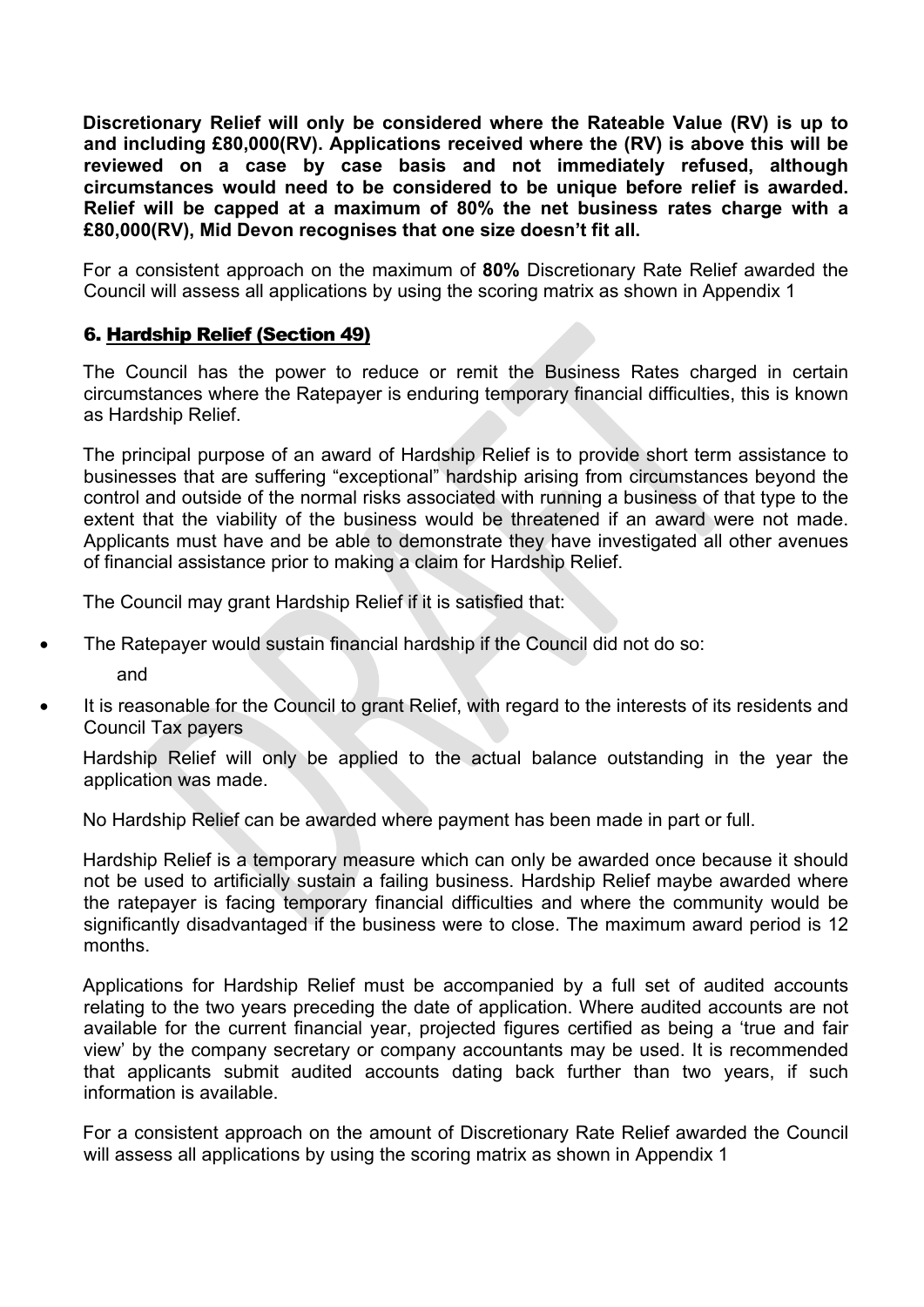**Discretionary Relief will only be considered where the Rateable Value (RV) is up to and including £80,000(RV). Applications received where the (RV) is above this will be reviewed on a case by case basis and not immediately refused, although circumstances would need to be considered to be unique before relief is awarded. Relief will be capped at a maximum of 80% the net business rates charge with a £80,000(RV), Mid Devon recognises that one size doesn't fit all.**

For a consistent approach on the maximum of **80%** Discretionary Rate Relief awarded the Council will assess all applications by using the scoring matrix as shown in Appendix 1

# 6. Hardship Relief (Section 49)

The Council has the power to reduce or remit the Business Rates charged in certain circumstances where the Ratepayer is enduring temporary financial difficulties, this is known as Hardship Relief.

The principal purpose of an award of Hardship Relief is to provide short term assistance to businesses that are suffering "exceptional" hardship arising from circumstances beyond the control and outside of the normal risks associated with running a business of that type to the extent that the viability of the business would be threatened if an award were not made. Applicants must have and be able to demonstrate they have investigated all other avenues of financial assistance prior to making a claim for Hardship Relief.

The Council may grant Hardship Relief if it is satisfied that:

The Ratepayer would sustain financial hardship if the Council did not do so:

and

 It is reasonable for the Council to grant Relief, with regard to the interests of its residents and Council Tax payers

Hardship Relief will only be applied to the actual balance outstanding in the year the application was made.

No Hardship Relief can be awarded where payment has been made in part or full.

Hardship Relief is a temporary measure which can only be awarded once because it should not be used to artificially sustain a failing business. Hardship Relief maybe awarded where the ratepayer is facing temporary financial difficulties and where the community would be significantly disadvantaged if the business were to close. The maximum award period is 12 months.

Applications for Hardship Relief must be accompanied by a full set of audited accounts relating to the two years preceding the date of application. Where audited accounts are not available for the current financial year, projected figures certified as being a 'true and fair view' by the company secretary or company accountants may be used. It is recommended that applicants submit audited accounts dating back further than two years, if such information is available.

For a consistent approach on the amount of Discretionary Rate Relief awarded the Council will assess all applications by using the scoring matrix as shown in Appendix 1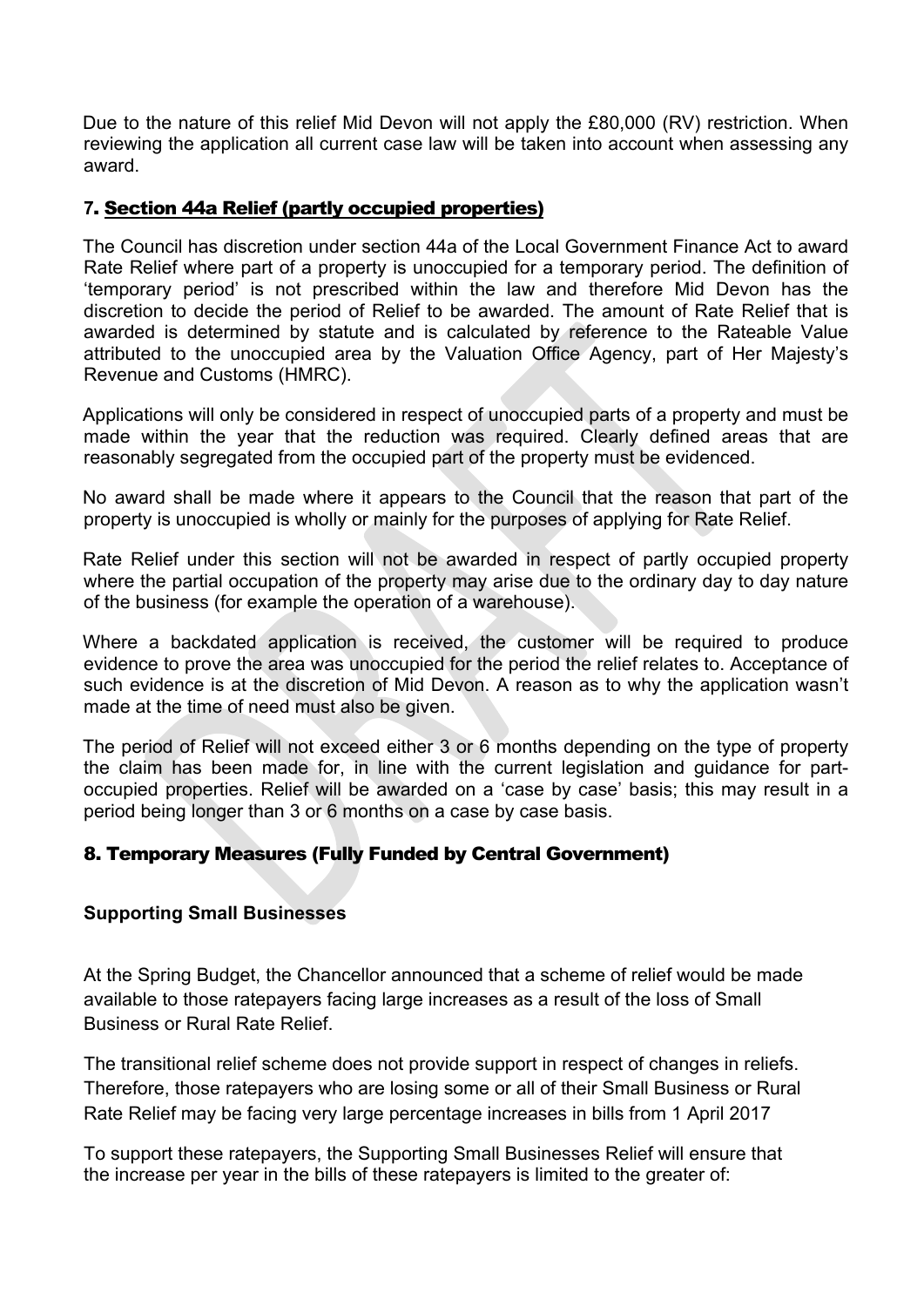Due to the nature of this relief Mid Devon will not apply the £80,000 (RV) restriction. When reviewing the application all current case law will be taken into account when assessing any award.

### **7**. Section 44a Relief (partly occupied properties)

The Council has discretion under section 44a of the Local Government Finance Act to award Rate Relief where part of a property is unoccupied for a temporary period. The definition of 'temporary period' is not prescribed within the law and therefore Mid Devon has the discretion to decide the period of Relief to be awarded. The amount of Rate Relief that is awarded is determined by statute and is calculated by reference to the Rateable Value attributed to the unoccupied area by the Valuation Office Agency, part of Her Majesty's Revenue and Customs (HMRC).

Applications will only be considered in respect of unoccupied parts of a property and must be made within the year that the reduction was required. Clearly defined areas that are reasonably segregated from the occupied part of the property must be evidenced.

No award shall be made where it appears to the Council that the reason that part of the property is unoccupied is wholly or mainly for the purposes of applying for Rate Relief.

Rate Relief under this section will not be awarded in respect of partly occupied property where the partial occupation of the property may arise due to the ordinary day to day nature of the business (for example the operation of a warehouse).

Where a backdated application is received, the customer will be required to produce evidence to prove the area was unoccupied for the period the relief relates to. Acceptance of such evidence is at the discretion of Mid Devon. A reason as to why the application wasn't made at the time of need must also be given.

The period of Relief will not exceed either 3 or 6 months depending on the type of property the claim has been made for, in line with the current legislation and guidance for partoccupied properties. Relief will be awarded on a 'case by case' basis; this may result in a period being longer than 3 or 6 months on a case by case basis.

# 8. Temporary Measures (Fully Funded by Central Government)

### **Supporting Small Businesses**

At the Spring Budget, the Chancellor announced that a scheme of relief would be made available to those ratepayers facing large increases as a result of the loss of Small Business or Rural Rate Relief.

The transitional relief scheme does not provide support in respect of changes in reliefs. Therefore, those ratepayers who are losing some or all of their Small Business or Rural Rate Relief may be facing very large percentage increases in bills from 1 April 2017

To support these ratepayers, the Supporting Small Businesses Relief will ensure that the increase per year in the bills of these ratepayers is limited to the greater of: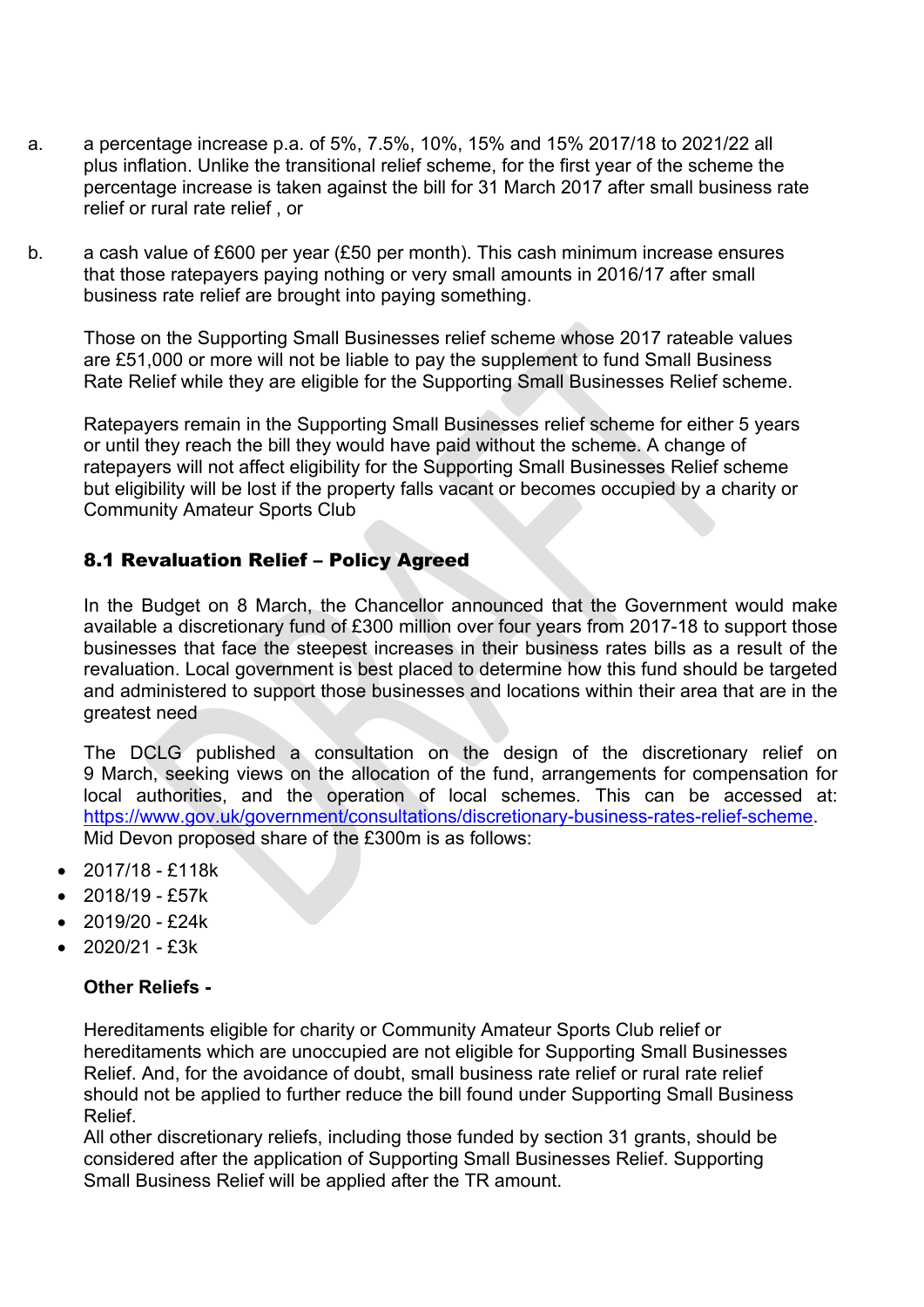- a. a percentage increase p.a. of 5%, 7.5%, 10%, 15% and 15% 2017/18 to 2021/22 all plus inflation. Unlike the transitional relief scheme, for the first year of the scheme the percentage increase is taken against the bill for 31 March 2017 after small business rate relief or rural rate relief , or
- b. a cash value of £600 per year (£50 per month). This cash minimum increase ensures that those ratepayers paying nothing or very small amounts in 2016/17 after small business rate relief are brought into paying something.

Those on the Supporting Small Businesses relief scheme whose 2017 rateable values are £51,000 or more will not be liable to pay the supplement to fund Small Business Rate Relief while they are eligible for the Supporting Small Businesses Relief scheme.

Ratepayers remain in the Supporting Small Businesses relief scheme for either 5 years or until they reach the bill they would have paid without the scheme. A change of ratepayers will not affect eligibility for the Supporting Small Businesses Relief scheme but eligibility will be lost if the property falls vacant or becomes occupied by a charity or Community Amateur Sports Club

# 8.1 Revaluation Relief – Policy Agreed

In the Budget on 8 March, the Chancellor announced that the Government would make available a discretionary fund of £300 million over four years from 2017-18 to support those businesses that face the steepest increases in their business rates bills as a result of the revaluation. Local government is best placed to determine how this fund should be targeted and administered to support those businesses and locations within their area that are in the greatest need

The DCLG published a consultation on the design of the discretionary relief on 9 March, seeking views on the allocation of the fund, arrangements for compensation for local authorities, and the operation of local schemes. This can be accessed at: [https://www.gov.uk/government/consultations/discretionary-business-rates-relief-scheme.](https://www.gov.uk/government/consultations/discretionary-business-rates-relief-scheme) Mid Devon proposed share of the £300m is as follows:

- 2017/18 £118k
- 2018/19 £57k
- 2019/20 £24k
- 2020/21 £3k

### **Other Reliefs -**

Hereditaments eligible for charity or Community Amateur Sports Club relief or hereditaments which are unoccupied are not eligible for Supporting Small Businesses Relief. And, for the avoidance of doubt, small business rate relief or rural rate relief should not be applied to further reduce the bill found under Supporting Small Business Relief.

All other discretionary reliefs, including those funded by section 31 grants, should be considered after the application of Supporting Small Businesses Relief. Supporting Small Business Relief will be applied after the TR amount.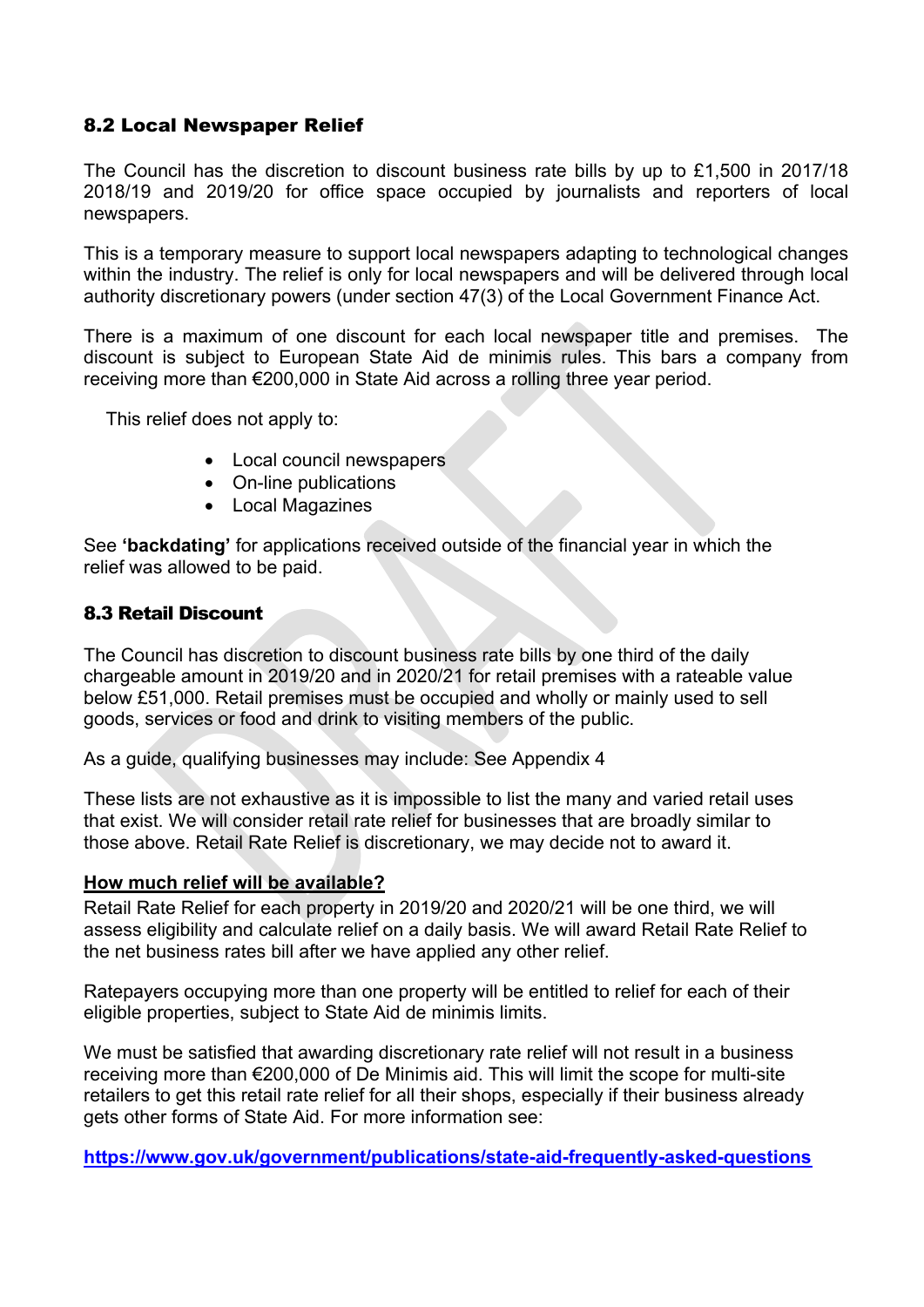# 8.2 Local Newspaper Relief

The Council has the discretion to discount business rate bills by up to £1,500 in 2017/18 2018/19 and 2019/20 for office space occupied by journalists and reporters of local newspapers.

This is a temporary measure to support local newspapers adapting to technological changes within the industry. The relief is only for local newspapers and will be delivered through local authority discretionary powers (under section 47(3) of the Local Government Finance Act.

There is a maximum of one discount for each local newspaper title and premises. The discount is subject to European State Aid de minimis rules. This bars a company from receiving more than €200,000 in State Aid across a rolling three year period.

This relief does not apply to:

- Local council newspapers
- On-line publications
- Local Magazines

See **'backdating'** for applications received outside of the financial year in which the relief was allowed to be paid.

### 8.3 Retail Discount

The Council has discretion to discount business rate bills by one third of the daily chargeable amount in 2019/20 and in 2020/21 for retail premises with a rateable value below £51,000. Retail premises must be occupied and wholly or mainly used to sell goods, services or food and drink to visiting members of the public.

As a guide, qualifying businesses may include: See Appendix 4

These lists are not exhaustive as it is impossible to list the many and varied retail uses that exist. We will consider retail rate relief for businesses that are broadly similar to those above. Retail Rate Relief is discretionary, we may decide not to award it.

### **How much relief will be available?**

Retail Rate Relief for each property in 2019/20 and 2020/21 will be one third, we will assess eligibility and calculate relief on a daily basis. We will award Retail Rate Relief to the net business rates bill after we have applied any other relief.

Ratepayers occupying more than one property will be entitled to relief for each of their eligible properties, subject to State Aid de minimis limits.

We must be satisfied that awarding discretionary rate relief will not result in a business receiving more than €200,000 of De Minimis aid. This will limit the scope for multi-site retailers to get this retail rate relief for all their shops, especially if their business already gets other forms of State Aid. For more information see:

**<https://www.gov.uk/government/publications/state-aid-frequently-asked-questions>**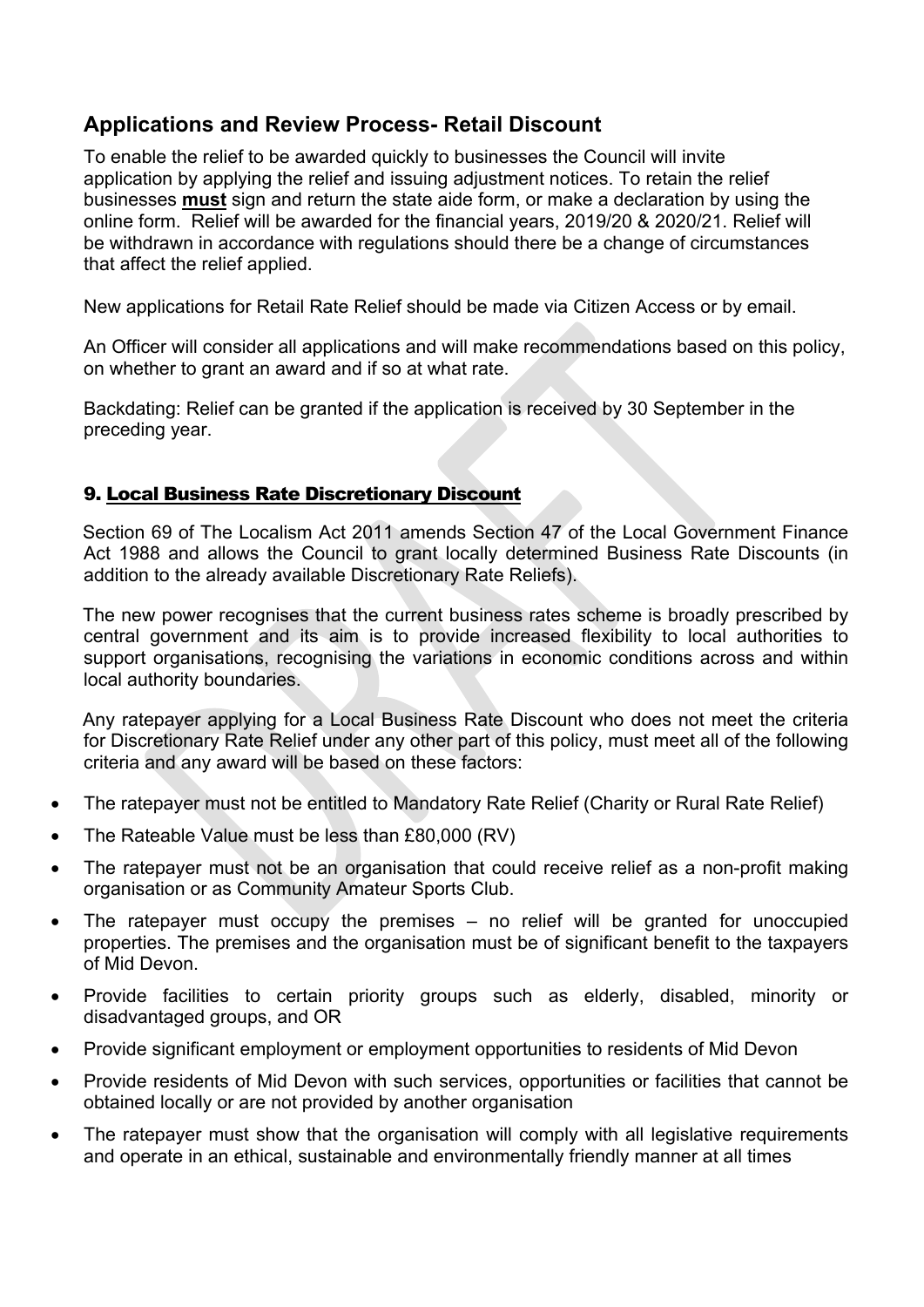# **Applications and Review Process- Retail Discount**

To enable the relief to be awarded quickly to businesses the Council will invite application by applying the relief and issuing adjustment notices. To retain the relief businesses **must** sign and return the state aide form, or make a declaration by using the online form. Relief will be awarded for the financial years, 2019/20 & 2020/21. Relief will be withdrawn in accordance with regulations should there be a change of circumstances that affect the relief applied.

New applications for Retail Rate Relief should be made via Citizen Access or by email.

An Officer will consider all applications and will make recommendations based on this policy, on whether to grant an award and if so at what rate.

Backdating: Relief can be granted if the application is received by 30 September in the preceding year.

# 9. Local Business Rate Discretionary Discount

Section 69 of The Localism Act 2011 amends Section 47 of the Local Government Finance Act 1988 and allows the Council to grant locally determined Business Rate Discounts (in addition to the already available Discretionary Rate Reliefs).

The new power recognises that the current business rates scheme is broadly prescribed by central government and its aim is to provide increased flexibility to local authorities to support organisations, recognising the variations in economic conditions across and within local authority boundaries.

Any ratepayer applying for a Local Business Rate Discount who does not meet the criteria for Discretionary Rate Relief under any other part of this policy, must meet all of the following criteria and any award will be based on these factors:

- The ratepayer must not be entitled to Mandatory Rate Relief (Charity or Rural Rate Relief)
- The Rateable Value must be less than £80,000 (RV)
- The ratepayer must not be an organisation that could receive relief as a non-profit making organisation or as Community Amateur Sports Club.
- The ratepayer must occupy the premises no relief will be granted for unoccupied properties. The premises and the organisation must be of significant benefit to the taxpayers of Mid Devon.
- Provide facilities to certain priority groups such as elderly, disabled, minority or disadvantaged groups, and OR
- Provide significant employment or employment opportunities to residents of Mid Devon
- Provide residents of Mid Devon with such services, opportunities or facilities that cannot be obtained locally or are not provided by another organisation
- The ratepayer must show that the organisation will comply with all legislative requirements and operate in an ethical, sustainable and environmentally friendly manner at all times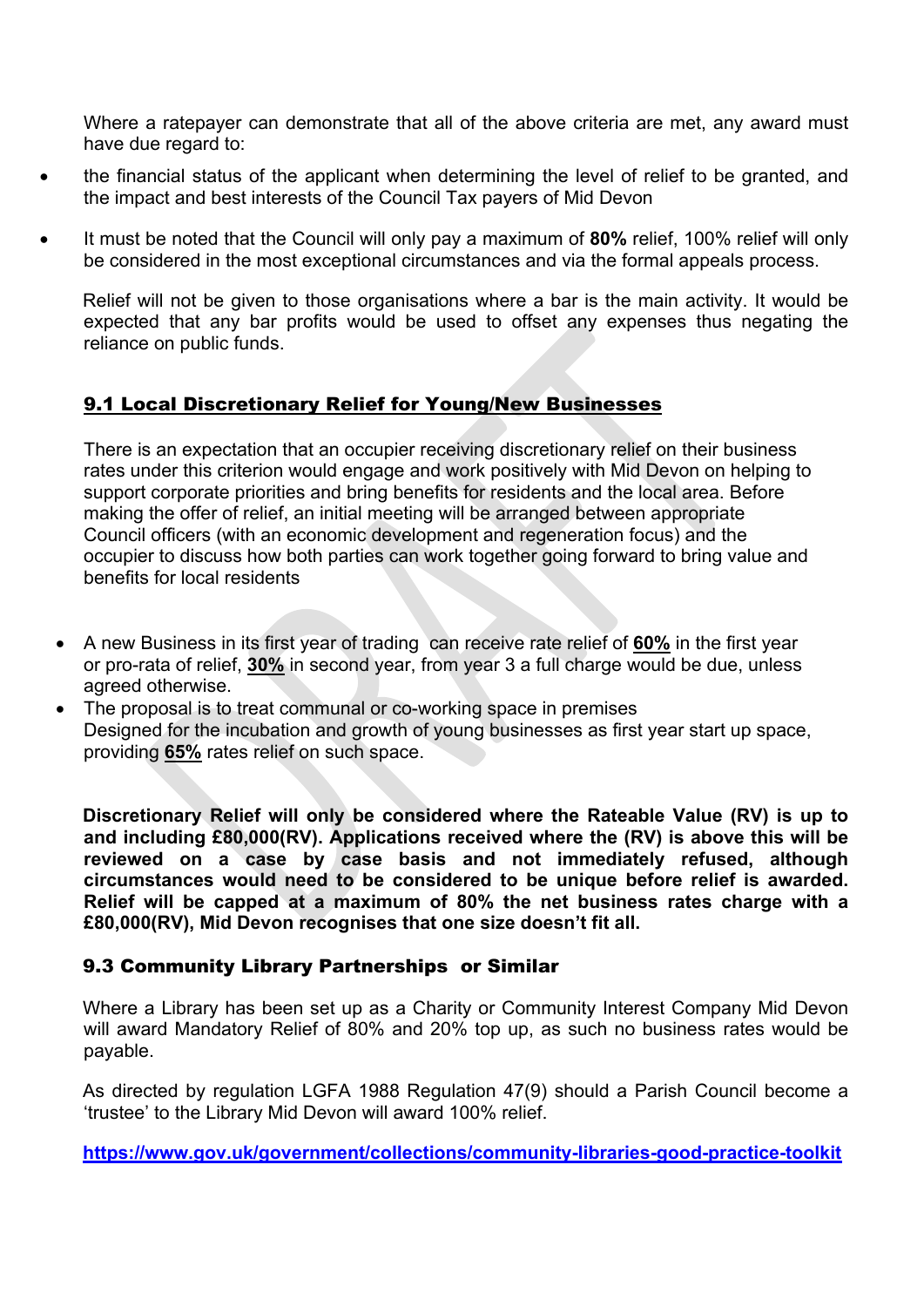Where a ratepayer can demonstrate that all of the above criteria are met, any award must have due regard to:

- the financial status of the applicant when determining the level of relief to be granted, and the impact and best interests of the Council Tax payers of Mid Devon
- It must be noted that the Council will only pay a maximum of **80%** relief, 100% relief will only be considered in the most exceptional circumstances and via the formal appeals process.

Relief will not be given to those organisations where a bar is the main activity. It would be expected that any bar profits would be used to offset any expenses thus negating the reliance on public funds.

# 9.1 Local Discretionary Relief for Young/New Businesses

There is an expectation that an occupier receiving discretionary relief on their business rates under this criterion would engage and work positively with Mid Devon on helping to support corporate priorities and bring benefits for residents and the local area. Before making the offer of relief, an initial meeting will be arranged between appropriate Council officers (with an economic development and regeneration focus) and the occupier to discuss how both parties can work together going forward to bring value and benefits for local residents

- A new Business in its first year of trading can receive rate relief of **60%** in the first year or pro-rata of relief, **30%** in second year, from year 3 a full charge would be due, unless agreed otherwise.
- The proposal is to treat communal or co-working space in premises Designed for the incubation and growth of young businesses as first year start up space, providing **65%** rates relief on such space.

**Discretionary Relief will only be considered where the Rateable Value (RV) is up to and including £80,000(RV). Applications received where the (RV) is above this will be reviewed on a case by case basis and not immediately refused, although circumstances would need to be considered to be unique before relief is awarded. Relief will be capped at a maximum of 80% the net business rates charge with a £80,000(RV), Mid Devon recognises that one size doesn't fit all.**

# 9.3 Community Library Partnerships or Similar

Where a Library has been set up as a Charity or Community Interest Company Mid Devon will award Mandatory Relief of 80% and 20% top up, as such no business rates would be payable.

As directed by regulation LGFA 1988 Regulation 47(9) should a Parish Council become a 'trustee' to the Library Mid Devon will award 100% relief.

**<https://www.gov.uk/government/collections/community-libraries-good-practice-toolkit>**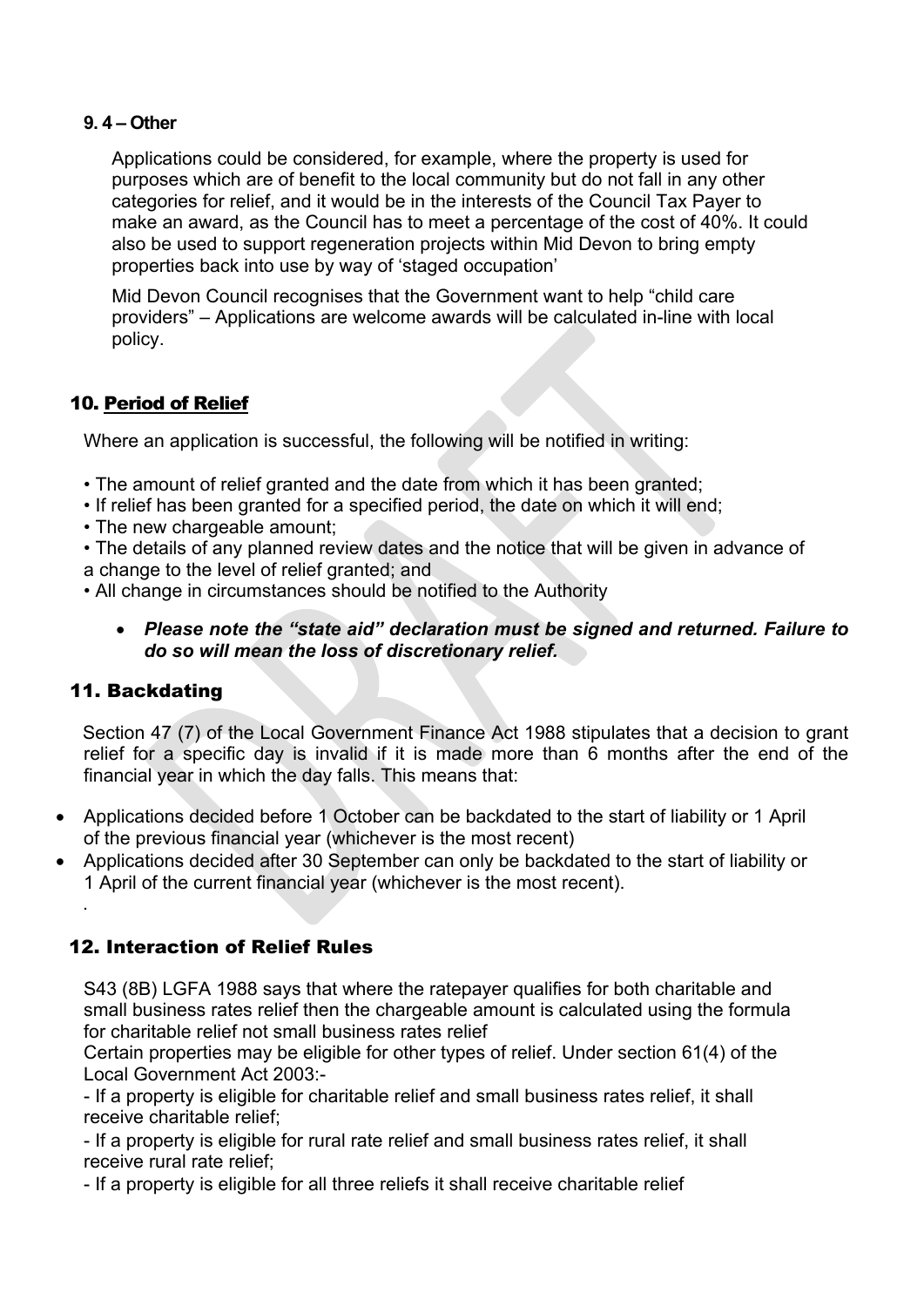### **9. 4 – Other**

Applications could be considered, for example, where the property is used for purposes which are of benefit to the local community but do not fall in any other categories for relief, and it would be in the interests of the Council Tax Payer to make an award, as the Council has to meet a percentage of the cost of 40%. It could also be used to support regeneration projects within Mid Devon to bring empty properties back into use by way of 'staged occupation'

Mid Devon Council recognises that the Government want to help "child care providers" – Applications are welcome awards will be calculated in-line with local policy.

# 10. Period of Relief

Where an application is successful, the following will be notified in writing:

- The amount of relief granted and the date from which it has been granted;
- If relief has been granted for a specified period, the date on which it will end;
- The new chargeable amount:
- The details of any planned review dates and the notice that will be given in advance of a change to the level of relief granted; and
- All change in circumstances should be notified to the Authority
	- *Please note the "state aid" declaration must be signed and returned. Failure to do so will mean the loss of discretionary relief.*

# 11. Backdating

.

Section 47 (7) of the Local Government Finance Act 1988 stipulates that a decision to grant relief for a specific day is invalid if it is made more than 6 months after the end of the financial year in which the day falls. This means that:

- Applications decided before 1 October can be backdated to the start of liability or 1 April of the previous financial year (whichever is the most recent)
- Applications decided after 30 September can only be backdated to the start of liability or 1 April of the current financial year (whichever is the most recent).

# 12. Interaction of Relief Rules

S43 (8B) LGFA 1988 says that where the ratepayer qualifies for both charitable and small business rates relief then the chargeable amount is calculated using the formula for charitable relief not small business rates relief

Certain properties may be eligible for other types of relief. Under section 61(4) of the Local Government Act 2003:-

- If a property is eligible for charitable relief and small business rates relief, it shall receive charitable relief;

- If a property is eligible for rural rate relief and small business rates relief, it shall receive rural rate relief;

- If a property is eligible for all three reliefs it shall receive charitable relief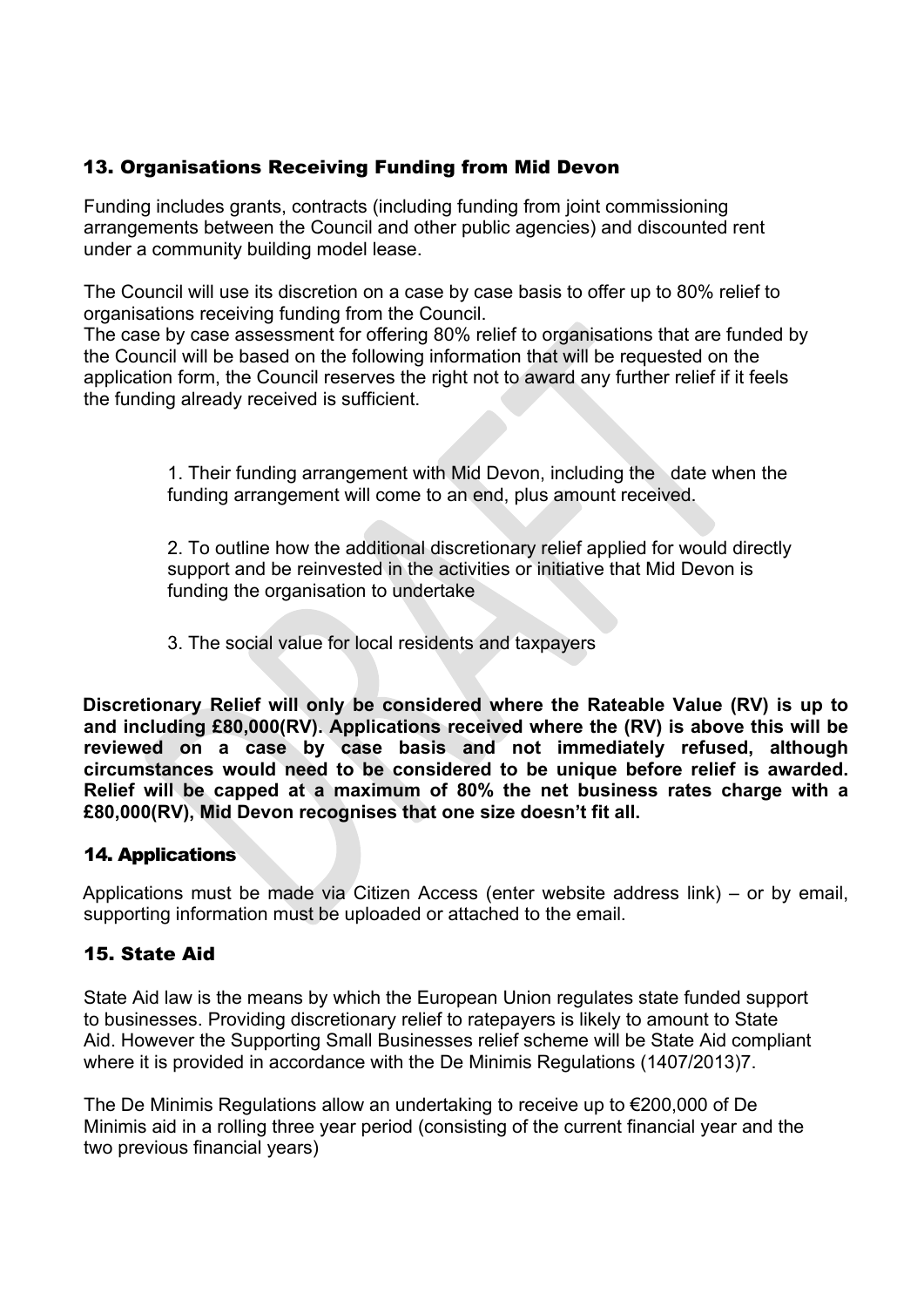# 13. Organisations Receiving Funding from Mid Devon

Funding includes grants, contracts (including funding from joint commissioning arrangements between the Council and other public agencies) and discounted rent under a community building model lease.

The Council will use its discretion on a case by case basis to offer up to 80% relief to organisations receiving funding from the Council.

The case by case assessment for offering 80% relief to organisations that are funded by the Council will be based on the following information that will be requested on the application form, the Council reserves the right not to award any further relief if it feels the funding already received is sufficient.

> 1. Their funding arrangement with Mid Devon, including the date when the funding arrangement will come to an end, plus amount received.

> 2. To outline how the additional discretionary relief applied for would directly support and be reinvested in the activities or initiative that Mid Devon is funding the organisation to undertake

3. The social value for local residents and taxpayers

**Discretionary Relief will only be considered where the Rateable Value (RV) is up to and including £80,000(RV). Applications received where the (RV) is above this will be reviewed on a case by case basis and not immediately refused, although circumstances would need to be considered to be unique before relief is awarded. Relief will be capped at a maximum of 80% the net business rates charge with a £80,000(RV), Mid Devon recognises that one size doesn't fit all.**

# 14. Applications

Applications must be made via Citizen Access (enter website address link) – or by email, supporting information must be uploaded or attached to the email.

# 15. State Aid

State Aid law is the means by which the European Union regulates state funded support to businesses. Providing discretionary relief to ratepayers is likely to amount to State Aid. However the Supporting Small Businesses relief scheme will be State Aid compliant where it is provided in accordance with the De Minimis Regulations (1407/2013)7.

The De Minimis Regulations allow an undertaking to receive up to €200,000 of De Minimis aid in a rolling three year period (consisting of the current financial year and the two previous financial years)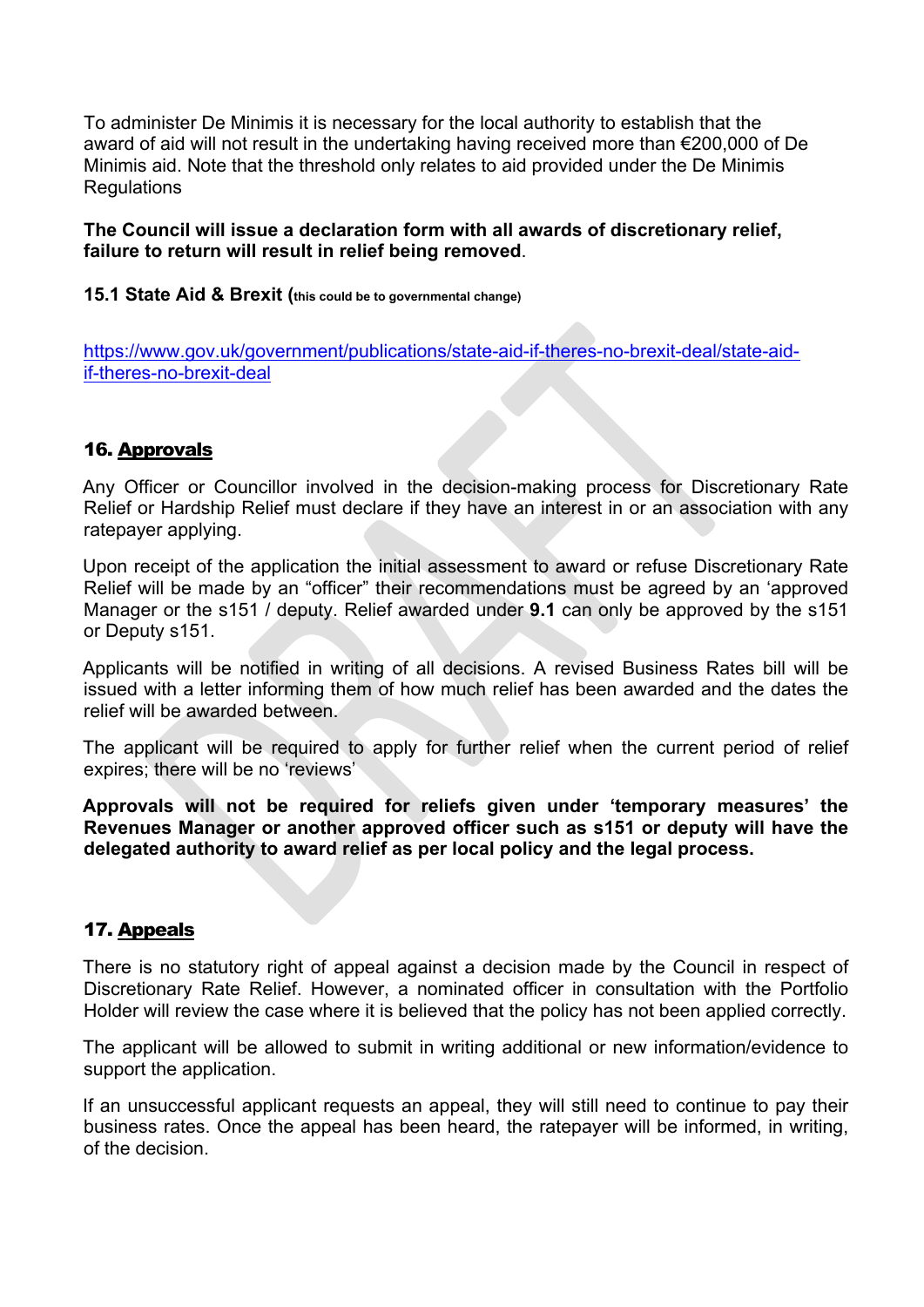To administer De Minimis it is necessary for the local authority to establish that the award of aid will not result in the undertaking having received more than €200,000 of De Minimis aid. Note that the threshold only relates to aid provided under the De Minimis Regulations

### **The Council will issue a declaration form with all awards of discretionary relief, failure to return will result in relief being removed**.

### **15.1 State Aid & Brexit (this could be to governmental change)**

[https://www.gov.uk/government/publications/state-aid-if-theres-no-brexit-deal/state-aid](https://www.gov.uk/government/publications/state-aid-if-theres-no-brexit-deal/state-aid-if-theres-no-brexit-deal)[if-theres-no-brexit-deal](https://www.gov.uk/government/publications/state-aid-if-theres-no-brexit-deal/state-aid-if-theres-no-brexit-deal)

# 16. Approvals

Any Officer or Councillor involved in the decision-making process for Discretionary Rate Relief or Hardship Relief must declare if they have an interest in or an association with any ratepayer applying.

Upon receipt of the application the initial assessment to award or refuse Discretionary Rate Relief will be made by an "officer" their recommendations must be agreed by an 'approved Manager or the s151 / deputy. Relief awarded under **9.1** can only be approved by the s151 or Deputy s151.

Applicants will be notified in writing of all decisions. A revised Business Rates bill will be issued with a letter informing them of how much relief has been awarded and the dates the relief will be awarded between.

The applicant will be required to apply for further relief when the current period of relief expires; there will be no 'reviews'

**Approvals will not be required for reliefs given under 'temporary measures' the Revenues Manager or another approved officer such as s151 or deputy will have the delegated authority to award relief as per local policy and the legal process.**

# 17. Appeals

There is no statutory right of appeal against a decision made by the Council in respect of Discretionary Rate Relief. However, a nominated officer in consultation with the Portfolio Holder will review the case where it is believed that the policy has not been applied correctly.

The applicant will be allowed to submit in writing additional or new information/evidence to support the application.

If an unsuccessful applicant requests an appeal, they will still need to continue to pay their business rates. Once the appeal has been heard, the ratepayer will be informed, in writing, of the decision.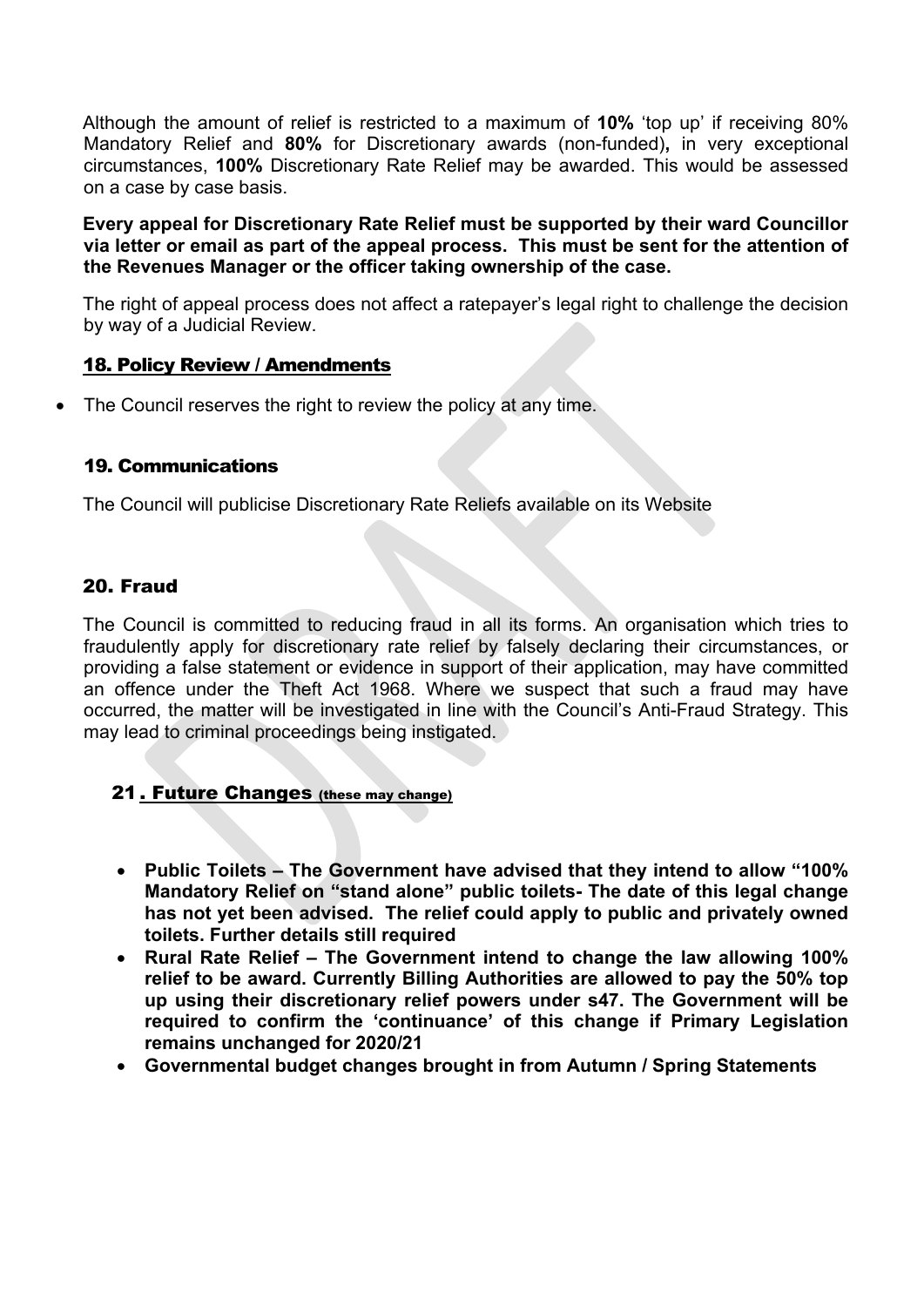Although the amount of relief is restricted to a maximum of **10%** 'top up' if receiving 80% Mandatory Relief and **80%** for Discretionary awards (non-funded)**,** in very exceptional circumstances, **100%** Discretionary Rate Relief may be awarded. This would be assessed on a case by case basis.

**Every appeal for Discretionary Rate Relief must be supported by their ward Councillor via letter or email as part of the appeal process. This must be sent for the attention of the Revenues Manager or the officer taking ownership of the case.**

The right of appeal process does not affect a ratepayer's legal right to challenge the decision by way of a Judicial Review.

### 18. Policy Review / Amendments

The Council reserves the right to review the policy at any time.

### 19. Communications

The Council will publicise Discretionary Rate Reliefs available on its Website

### 20. Fraud

The Council is committed to reducing fraud in all its forms. An organisation which tries to fraudulently apply for discretionary rate relief by falsely declaring their circumstances, or providing a false statement or evidence in support of their application, may have committed an offence under the Theft Act 1968. Where we suspect that such a fraud may have occurred, the matter will be investigated in line with the Council's Anti-Fraud Strategy. This may lead to criminal proceedings being instigated.

# 21 . Future Changes (these may change)

- **Public Toilets – The Government have advised that they intend to allow "100% Mandatory Relief on "stand alone" public toilets- The date of this legal change has not yet been advised. The relief could apply to public and privately owned toilets. Further details still required**
- **Rural Rate Relief – The Government intend to change the law allowing 100% relief to be award. Currently Billing Authorities are allowed to pay the 50% top up using their discretionary relief powers under s47. The Government will be required to confirm the 'continuance' of this change if Primary Legislation remains unchanged for 2020/21**
- **Governmental budget changes brought in from Autumn / Spring Statements**